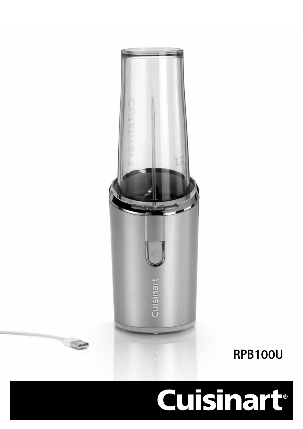# **Cuisinart**®



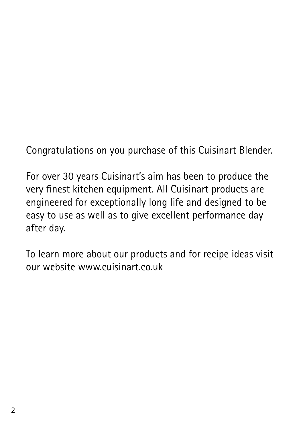Congratulations on you purchase of this Cuisinart Blender.

For over 30 years Cuisinart's aim has been to produce the very finest kitchen equipment. All Cuisinart products are engineered for exceptionally long life and designed to be easy to use as well as to give excellent performance day after day.

To learn more about our products and for recipe ideas visit our website www.cuisinart.co.uk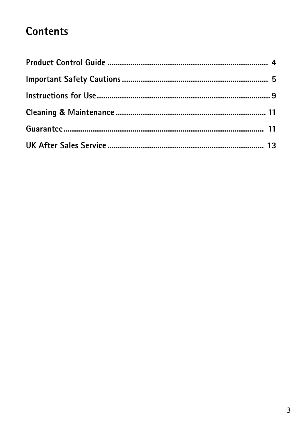## **Contents**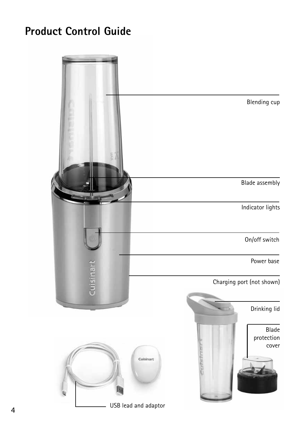## **Product Control Guide**

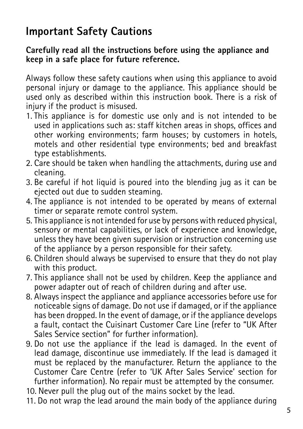## **Important Safety Cautions**

#### **Carefully read all the instructions before using the appliance and keep in a safe place for future reference.**

Always follow these safety cautions when using this appliance to avoid personal injury or damage to the appliance. This appliance should be used only as described within this instruction book. There is a risk of injury if the product is misused.

- 1. This appliance is for domestic use only and is not intended to be used in applications such as: staff kitchen areas in shops, offices and other working environments; farm houses; by customers in hotels, motels and other residential type environments; bed and breakfast type establishments.
- 2. Care should be taken when handling the attachments, during use and cleaning.
- 3. Be careful if hot liquid is poured into the blending jug as it can be ejected out due to sudden steaming.
- 4. The appliance is not intended to be operated by means of external timer or separate remote control system.
- 5. This appliance is not intended for use by persons with reduced physical, sensory or mental capabilities, or lack of experience and knowledge, unless they have been given supervision or instruction concerning use of the appliance by a person responsible for their safety.
- 6. Children should always be supervised to ensure that they do not play with this product.
- 7. This appliance shall not be used by children. Keep the appliance and power adapter out of reach of children during and after use.
- 8. Always inspect the appliance and appliance accessories before use for noticeable signs of damage. Do not use if damaged, or if the appliance has been dropped. In the event of damage, or if the appliance develops a fault, contact the Cuisinart Customer Care Line (refer to "UK After Sales Service section" for further information).
- 9. Do not use the appliance if the lead is damaged. In the event of lead damage, discontinue use immediately. If the lead is damaged it must be replaced by the manufacturer. Return the appliance to the Customer Care Centre (refer to 'UK After Sales Service' section for further information). No repair must be attempted by the consumer.
- 10. Never pull the plug out of the mains socket by the lead.
- 11. Do not wrap the lead around the main body of the appliance during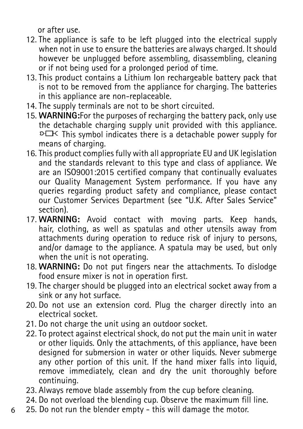or after use.

- 12. The appliance is safe to be left plugged into the electrical supply when not in use to ensure the batteries are always charged. It should however be unplugged before assembling, disassembling, cleaning or if not being used for a prolonged period of time.
- 13. This product contains a Lithium Ion rechargeable battery pack that is not to be removed from the appliance for charging. The batteries in this appliance are non-replaceable.
- 14. The supply terminals are not to be short circuited.
- 15. **WARNING:**For the purposes of recharging the battery pack, only use the detachable charging supply unit provided with this appliance.  $D \rightarrow C$  This symbol indicates there is a detachable power supply for means of charging.
- 16. This product complies fully with all appropriate EU and UK legislation and the standards relevant to this type and class of appliance. We are an ISO9001:2015 certified company that continually evaluates our Quality Management System performance. If you have any queries regarding product safety and compliance, please contact our Customer Services Department (see "U.K. After Sales Service" section).
- 17. **WARNING:** Avoid contact with moving parts. Keep hands, hair, clothing, as well as spatulas and other utensils away from attachments during operation to reduce risk of injury to persons, and/or damage to the appliance. A spatula may be used, but only when the unit is not operating.
- 18. **WARNING:** Do not put fingers near the attachments. To dislodge food ensure mixer is not in operation first.
- 19. The charger should be plugged into an electrical socket away from a sink or any hot surface.
- 20. Do not use an extension cord. Plug the charger directly into an electrical socket.
- 21. Do not charge the unit using an outdoor socket.
- 22. To protect against electrical shock, do not put the main unit in water or other liquids. Only the attachments, of this appliance, have been designed for submersion in water or other liquids. Never submerge any other portion of this unit. If the hand mixer falls into liquid, remove immediately, clean and dry the unit thoroughly before continuing.
- 23. Always remove blade assembly from the cup before cleaning.
- 24. Do not overload the blending cup. Observe the maximum fill line.
- 6 25. Do not run the blender empty - this will damage the motor.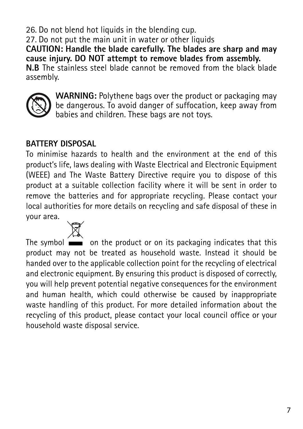26. Do not blend hot liquids in the blending cup. 27. Do not put the main unit in water or other liquids **CAUTION: Handle the blade carefully. The blades are sharp and may cause injury. DO NOT attempt to remove blades from assembly. N.B** The stainless steel blade cannot be removed from the black blade assembly.



**WARNING:** Polythene bags over the product or packaging may be dangerous. To avoid danger of suffocation, keep away from babies and children. These bags are not toys.

#### **BATTERY DISPOSAL**

To minimise hazards to health and the environment at the end of this product's life, laws dealing with Waste Electrical and Electronic Equipment (WEEE) and The Waste Battery Directive require you to dispose of this product at a suitable collection facility where it will be sent in order to remove the batteries and for appropriate recycling. Please contact your local authorities for more details on recycling and safe disposal of these in your area.

The symbol  $\equiv$  on the product or on its packaging indicates that this product may not be treated as household waste. Instead it should be handed over to the applicable collection point for the recycling of electrical and electronic equipment. By ensuring this product is disposed of correctly, you will help prevent potential negative consequences for the environment and human health, which could otherwise be caused by inappropriate waste handling of this product. For more detailed information about the recycling of this product, please contact your local council office or your household waste disposal service.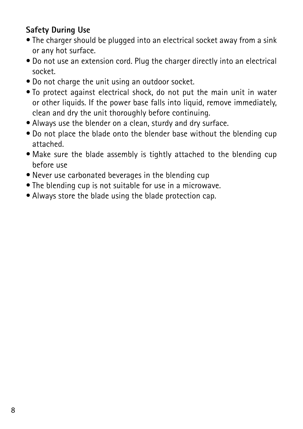#### **Safety During Use**

- The charger should be plugged into an electrical socket away from a sink or any hot surface.
- Do not use an extension cord. Plug the charger directly into an electrical socket.
- Do not charge the unit using an outdoor socket.
- To protect against electrical shock, do not put the main unit in water or other liquids. If the power base falls into liquid, remove immediately, clean and dry the unit thoroughly before continuing.
- Always use the blender on a clean, sturdy and dry surface.
- Do not place the blade onto the blender base without the blending cup attached.
- Make sure the blade assembly is tightly attached to the blending cup before use
- Never use carbonated beverages in the blending cup
- The blending cup is not suitable for use in a microwave.
- Always store the blade using the blade protection cap.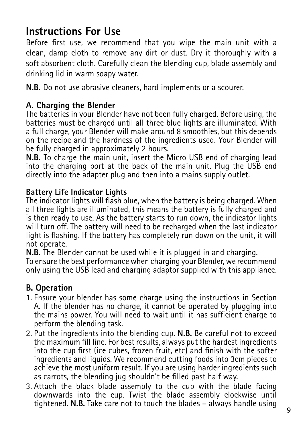## **Instructions For Use**

Before first use, we recommend that you wipe the main unit with a clean, damp cloth to remove any dirt or dust. Dry it thoroughly with a soft absorbent cloth. Carefully clean the blending cup, blade assembly and drinking lid in warm soapy water.

**N.B.** Do not use abrasive cleaners, hard implements or a scourer.

#### **A. Charging the Blender**

The batteries in your Blender have not been fully charged. Before using, the batteries must be charged until all three blue lights are illuminated. With a full charge, your Blender will make around 8 smoothies, but this depends on the recipe and the hardness of the ingredients used. Your Blender will be fully charged in approximately 2 hours.

**N.B.** To charge the main unit, insert the Micro USB end of charging lead into the charging port at the back of the main unit. Plug the USB end directly into the adapter plug and then into a mains supply outlet.

#### **Battery Life Indicator Lights**

The indicator lights will flash blue, when the battery is being charged. When all three lights are illuminated, this means the battery is fully charged and is then ready to use. As the battery starts to run down, the indicator lights will turn off. The battery will need to be recharged when the last indicator light is flashing. If the battery has completely run down on the unit, it will not operate.

**N.B.** The Blender cannot be used while it is plugged in and charging. To ensure the best performance when charging your Blender, we recommend only using the USB lead and charging adaptor supplied with this appliance.

#### **B. Operation**

- 1. Ensure your blender has some charge using the instructions in Section A. If the blender has no charge, it cannot be operated by plugging into the mains power. You will need to wait until it has sufficient charge to perform the blending task.
- 2. Put the ingredients into the blending cup. **N.B.** Be careful not to exceed the maximum fill line. For best results, always put the hardest ingredients into the cup first (ice cubes, frozen fruit, etc) and finish with the softer ingredients and liquids. We recommend cutting foods into 3cm pieces to achieve the most uniform result. If you are using harder ingredients such as carrots, the blending jug shouldn't be filled past half way.
- 3. Attach the black blade assembly to the cup with the blade facing downwards into the cup. Twist the blade assembly clockwise until tightened. **N.B.** Take care not to touch the blades – always handle using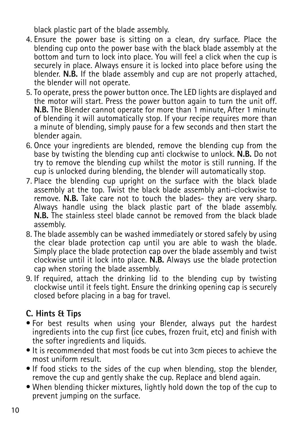black plastic part of the blade assembly.

- 4. Ensure the power base is sitting on a clean, dry surface. Place the blending cup onto the power base with the black blade assembly at the bottom and turn to lock into place. You will feel a click when the cup is securely in place. Always ensure it is locked into place before using the blender. **N.B.** If the blade assembly and cup are not properly attached, the blender will not operate.
- 5. To operate, press the power button once. The LED lights are displayed and the motor will start. Press the power button again to turn the unit off. **N.B.** The Blender cannot operate for more than 1 minute, After 1 minute of blending it will automatically stop. If your recipe requires more than a minute of blending, simply pause for a few seconds and then start the blender again.
- 6. Once your ingredients are blended, remove the blending cup from the base by twisting the blending cup anti clockwise to unlock. **N.B.** Do not try to remove the blending cup whilst the motor is still running. If the cup is unlocked during blending, the blender will automatically stop.
- 7. Place the blending cup upright on the surface with the black blade assembly at the top. Twist the black blade assembly anti-clockwise to remove. **N.B.** Take care not to touch the blades- they are very sharp. Always handle using the black plastic part of the blade assembly. **N.B.** The stainless steel blade cannot be removed from the black blade assembly.
- 8. The blade assembly can be washed immediately or stored safely by using the clear blade protection cap until you are able to wash the blade. Simply place the blade protection cap over the blade assembly and twist clockwise until it lock into place. **N.B.** Always use the blade protection cap when storing the blade assembly.
- 9. If required, attach the drinking lid to the blending cup by twisting clockwise until it feels tight. Ensure the drinking opening cap is securely closed before placing in a bag for travel.

### **C. Hints & Tips**

- For best results when using your Blender, always put the hardest ingredients into the cup first (ice cubes, frozen fruit, etc) and finish with the softer ingredients and liquids.
- It is recommended that most foods be cut into 3cm pieces to achieve the most uniform result.
- If food sticks to the sides of the cup when blending, stop the blender, remove the cup and gently shake the cup. Replace and blend again.
- When blending thicker mixtures, lightly hold down the top of the cup to prevent jumping on the surface.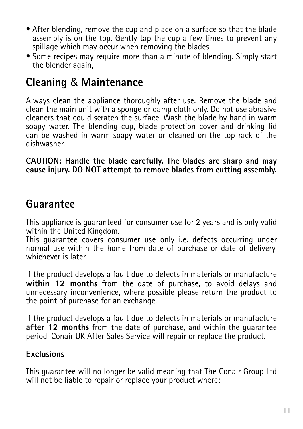- After blending, remove the cup and place on a surface so that the blade assembly is on the top. Gently tap the cup a few times to prevent any spillage which may occur when removing the blades.
- Some recipes may require more than a minute of blending. Simply start the blender again,

## **Cleaning** & **Maintenance**

Always clean the appliance thoroughly after use. Remove the blade and clean the main unit with a sponge or damp cloth only. Do not use abrasive cleaners that could scratch the surface. Wash the blade by hand in warm soapy water. The blending cup, blade protection cover and drinking lid can be washed in warm soapy water or cleaned on the top rack of the dishwasher.

**CAUTION: Handle the blade carefully. The blades are sharp and may cause injury. DO NOT attempt to remove blades from cutting assembly.**

## **Guarantee**

This appliance is guaranteed for consumer use for 2 years and is only valid within the United Kingdom.

This guarantee covers consumer use only i.e. defects occurring under normal use within the home from date of purchase or date of delivery, whichever is later.

If the product develops a fault due to defects in materials or manufacture **within 12 months** from the date of purchase, to avoid delays and unnecessary inconvenience, where possible please return the product to the point of purchase for an exchange.

If the product develops a fault due to defects in materials or manufacture **after 12 months** from the date of purchase, and within the guarantee period, Conair UK After Sales Service will repair or replace the product.

#### **Exclusions**

This guarantee will no longer be valid meaning that The Conair Group Ltd will not be liable to repair or replace your product where: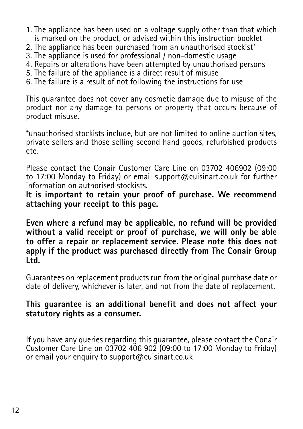- 1. The appliance has been used on a voltage supply other than that which is marked on the product, or advised within this instruction booklet
- 2. The appliance has been purchased from an unauthorised stockist\*
- 3. The appliance is used for professional / non-domestic usage
- 4. Repairs or alterations have been attempted by unauthorised persons
- 5. The failure of the appliance is a direct result of misuse
- 6. The failure is a result of not following the instructions for use

This guarantee does not cover any cosmetic damage due to misuse of the product nor any damage to persons or property that occurs because of product misuse.

\*unauthorised stockists include, but are not limited to online auction sites, private sellers and those selling second hand goods, refurbished products etc.

Please contact the Conair Customer Care Line on 03702 406902 (09:00 to 17:00 Monday to Friday) or email support@cuisinart.co.uk for further information on authorised stockists.

**It is important to retain your proof of purchase. We recommend attaching your receipt to this page.**

**Even where a refund may be applicable, no refund will be provided without a valid receipt or proof of purchase, we will only be able to offer a repair or replacement service. Please note this does not apply if the product was purchased directly from The Conair Group Ltd.**

Guarantees on replacement products run from the original purchase date or date of delivery, whichever is later, and not from the date of replacement.

#### **This guarantee is an additional benefit and does not affect your statutory rights as a consumer.**

If you have any queries regarding this guarantee, please contact the Conair Customer Care Line on 03702 406 902 (09:00 to 17:00 Monday to Friday) or email your enquiry to support@cuisinart.co.uk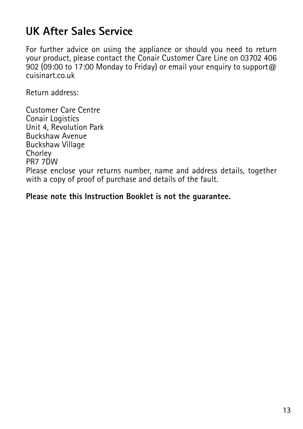## **UK After Sales Service**

For further advice on using the appliance or should you need to return your product, please contact the Conair Customer Care Line on 03702 406 902 (09:00 to 17:00 Monday to Friday) or email your enquiry to support@ cuisinart.co.uk

Return address:

Customer Care Centre Conair Logistics Unit 4, Revolution Park Buckshaw Avenue Buckshaw Village **Chorley** PR7 7DW Please enclose your returns number, name and address details, together with a copy of proof of purchase and details of the fault.

**Please note this Instruction Booklet is not the guarantee.**